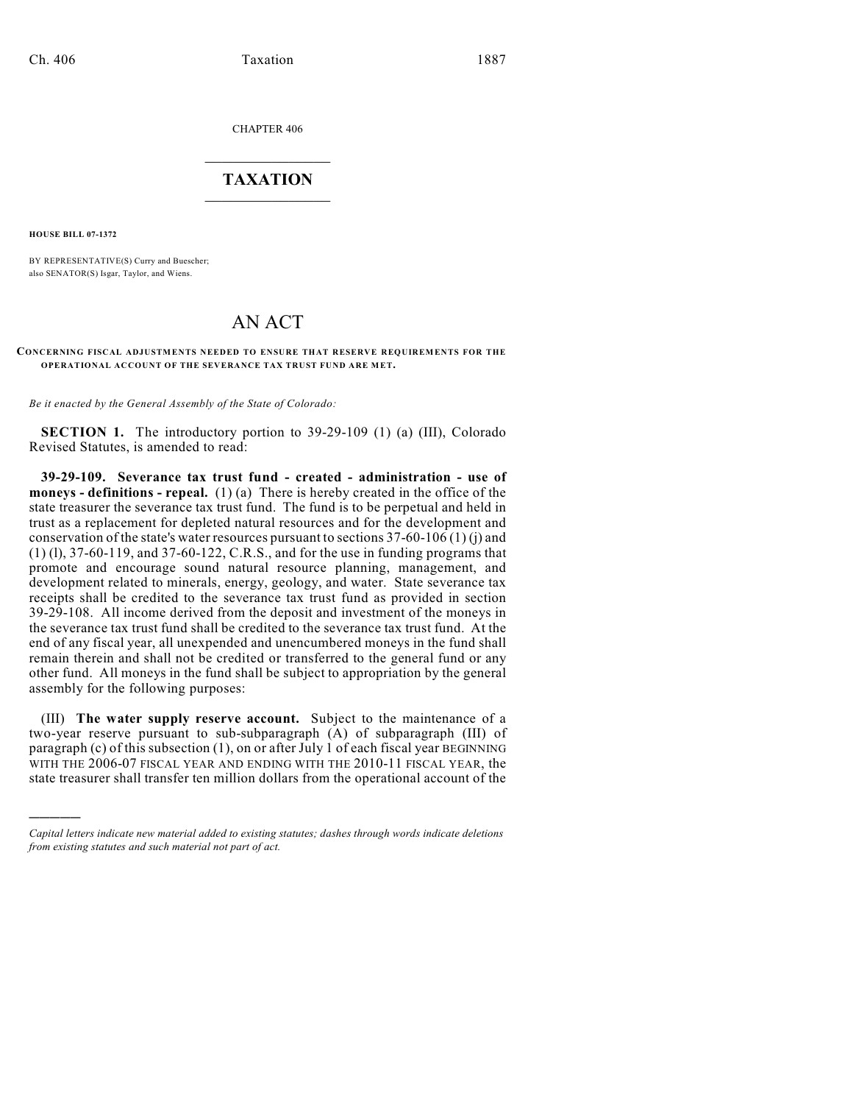CHAPTER 406

## $\mathcal{L}_\text{max}$  . The set of the set of the set of the set of the set of the set of the set of the set of the set of the set of the set of the set of the set of the set of the set of the set of the set of the set of the set **TAXATION**  $\_$

**HOUSE BILL 07-1372**

)))))

BY REPRESENTATIVE(S) Curry and Buescher; also SENATOR(S) Isgar, Taylor, and Wiens.

## AN ACT

## **CONCERNING FISCAL ADJUSTMENTS NEEDED TO ENSURE THAT RESERVE REQUIREMENTS FOR THE OPERATIONAL ACCOUNT OF THE SEVERANCE TAX TRUST FUND ARE MET.**

*Be it enacted by the General Assembly of the State of Colorado:*

**SECTION 1.** The introductory portion to 39-29-109 (1) (a) (III), Colorado Revised Statutes, is amended to read:

**39-29-109. Severance tax trust fund - created - administration - use of moneys - definitions - repeal.** (1) (a) There is hereby created in the office of the state treasurer the severance tax trust fund. The fund is to be perpetual and held in trust as a replacement for depleted natural resources and for the development and conservation of the state's water resources pursuant to sections  $37-60-106(1)(i)$  and (1) (l), 37-60-119, and 37-60-122, C.R.S., and for the use in funding programs that promote and encourage sound natural resource planning, management, and development related to minerals, energy, geology, and water. State severance tax receipts shall be credited to the severance tax trust fund as provided in section 39-29-108. All income derived from the deposit and investment of the moneys in the severance tax trust fund shall be credited to the severance tax trust fund. At the end of any fiscal year, all unexpended and unencumbered moneys in the fund shall remain therein and shall not be credited or transferred to the general fund or any other fund. All moneys in the fund shall be subject to appropriation by the general assembly for the following purposes:

(III) **The water supply reserve account.** Subject to the maintenance of a two-year reserve pursuant to sub-subparagraph (A) of subparagraph (III) of paragraph (c) of this subsection (1), on or after July 1 of each fiscal year BEGINNING WITH THE 2006-07 FISCAL YEAR AND ENDING WITH THE 2010-11 FISCAL YEAR, the state treasurer shall transfer ten million dollars from the operational account of the

*Capital letters indicate new material added to existing statutes; dashes through words indicate deletions from existing statutes and such material not part of act.*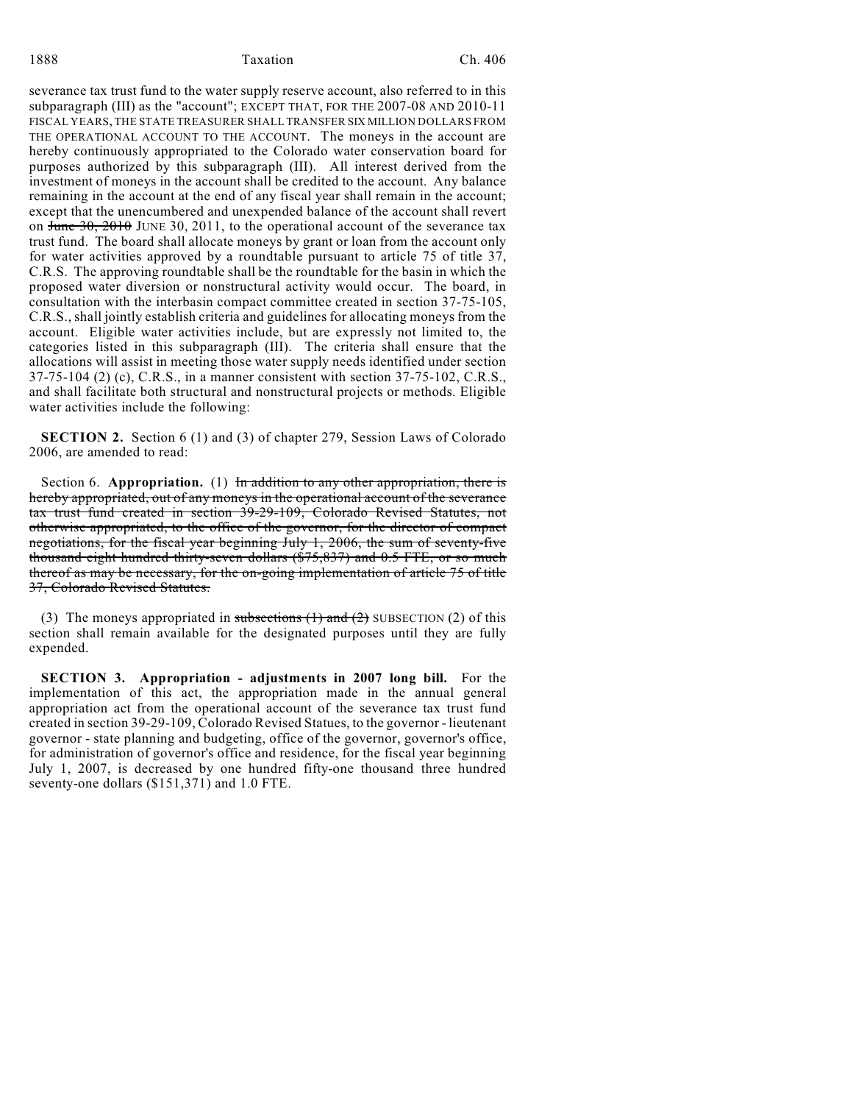1888 Taxation Ch. 406

severance tax trust fund to the water supply reserve account, also referred to in this subparagraph (III) as the "account"; EXCEPT THAT, FOR THE 2007-08 AND 2010-11 FISCAL YEARS, THE STATE TREASURER SHALL TRANSFER SIX MILLION DOLLARS FROM THE OPERATIONAL ACCOUNT TO THE ACCOUNT. The moneys in the account are hereby continuously appropriated to the Colorado water conservation board for purposes authorized by this subparagraph (III). All interest derived from the investment of moneys in the account shall be credited to the account. Any balance remaining in the account at the end of any fiscal year shall remain in the account; except that the unencumbered and unexpended balance of the account shall revert on  $\frac{30}{2010}$  JUNE 30, 2011, to the operational account of the severance tax trust fund. The board shall allocate moneys by grant or loan from the account only for water activities approved by a roundtable pursuant to article 75 of title 37, C.R.S. The approving roundtable shall be the roundtable for the basin in which the proposed water diversion or nonstructural activity would occur. The board, in consultation with the interbasin compact committee created in section 37-75-105, C.R.S., shall jointly establish criteria and guidelines for allocating moneys from the account. Eligible water activities include, but are expressly not limited to, the categories listed in this subparagraph (III). The criteria shall ensure that the allocations will assist in meeting those water supply needs identified under section 37-75-104 (2) (c), C.R.S., in a manner consistent with section 37-75-102, C.R.S., and shall facilitate both structural and nonstructural projects or methods. Eligible water activities include the following:

**SECTION 2.** Section 6 (1) and (3) of chapter 279, Session Laws of Colorado 2006, are amended to read:

Section 6. **Appropriation.** (1) In addition to any other appropriation, there is hereby appropriated, out of any moneys in the operational account of the severance tax trust fund created in section 39-29-109, Colorado Revised Statutes, not otherwise appropriated, to the office of the governor, for the director of compact negotiations, for the fiscal year beginning July 1, 2006, the sum of seventy-five thousand eight hundred thirty-seven dollars (\$75,837) and 0.5 FTE, or so much thereof as may be necessary, for the on-going implementation of article 75 of title 37, Colorado Revised Statutes.

(3) The moneys appropriated in subsections  $(1)$  and  $(2)$  SUBSECTION  $(2)$  of this section shall remain available for the designated purposes until they are fully expended.

**SECTION 3. Appropriation - adjustments in 2007 long bill.** For the implementation of this act, the appropriation made in the annual general appropriation act from the operational account of the severance tax trust fund created in section 39-29-109, Colorado Revised Statues, to the governor - lieutenant governor - state planning and budgeting, office of the governor, governor's office, for administration of governor's office and residence, for the fiscal year beginning July 1, 2007, is decreased by one hundred fifty-one thousand three hundred seventy-one dollars (\$151,371) and 1.0 FTE.